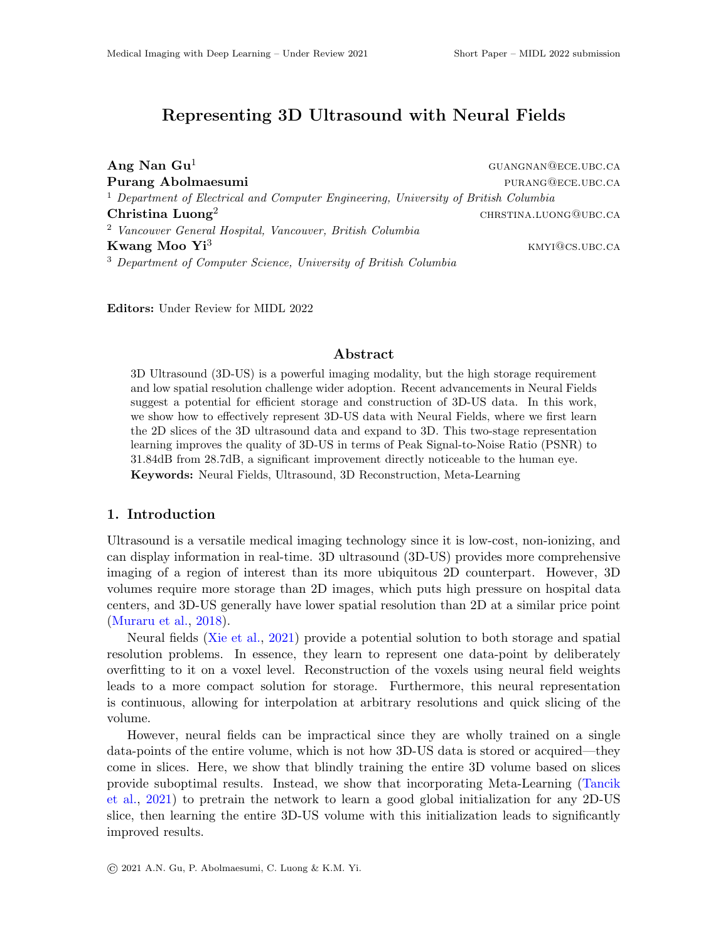# Representing 3D Ultrasound with Neural Fields

 $\mathbf{Ang}$   $\mathbf{Nan}$   $\mathbf{Gu}^1$  guangnan@ece.ubc.ca Purang Abolmaesumi **purang Abolmaesumi** purang purang purang purang purang purang purang purang purang purang purang purang purang purang purang purang purang purang purang purang purang purang purang purang purang purang <sup>1</sup> Department of Electrical and Computer Engineering, University of British Columbia **Christina Luong**<sup>2</sup> christina.luong christina.luong christina.luong christina.luong christina.luong christina. <sup>2</sup> Vancouver General Hospital, Vancouver, British Columbia **Kwang Moo Yi**<sup>3</sup> kmyi@cs.ubc.ca <sup>3</sup> Department of Computer Science, University of British Columbia

Editors: Under Review for MIDL 2022

### Abstract

3D Ultrasound (3D-US) is a powerful imaging modality, but the high storage requirement and low spatial resolution challenge wider adoption. Recent advancements in Neural Fields suggest a potential for efficient storage and construction of 3D-US data. In this work, we show how to effectively represent 3D-US data with Neural Fields, where we first learn the 2D slices of the 3D ultrasound data and expand to 3D. This two-stage representation learning improves the quality of 3D-US in terms of Peak Signal-to-Noise Ratio (PSNR) to 31.84dB from 28.7dB, a significant improvement directly noticeable to the human eye. Keywords: Neural Fields, Ultrasound, 3D Reconstruction, Meta-Learning

### 1. Introduction

Ultrasound is a versatile medical imaging technology since it is low-cost, non-ionizing, and can display information in real-time. 3D ultrasound (3D-US) provides more comprehensive imaging of a region of interest than its more ubiquitous 2D counterpart. However, 3D volumes require more storage than 2D images, which puts high pressure on hospital data centers, and 3D-US generally have lower spatial resolution than 2D at a similar price point [\(Muraru et al.,](#page-2-0) [2018\)](#page-2-0).

Neural fields [\(Xie et al.,](#page-2-1) [2021\)](#page-2-1) provide a potential solution to both storage and spatial resolution problems. In essence, they learn to represent one data-point by deliberately overfitting to it on a voxel level. Reconstruction of the voxels using neural field weights leads to a more compact solution for storage. Furthermore, this neural representation is continuous, allowing for interpolation at arbitrary resolutions and quick slicing of the volume.

However, neural fields can be impractical since they are wholly trained on a single data-points of the entire volume, which is not how 3D-US data is stored or acquired—they come in slices. Here, we show that blindly training the entire 3D volume based on slices provide suboptimal results. Instead, we show that incorporating Meta-Learning [\(Tancik](#page-2-2) [et al.,](#page-2-2) [2021\)](#page-2-2) to pretrain the network to learn a good global initialization for any 2D-US slice, then learning the entire 3D-US volume with this initialization leads to significantly improved results.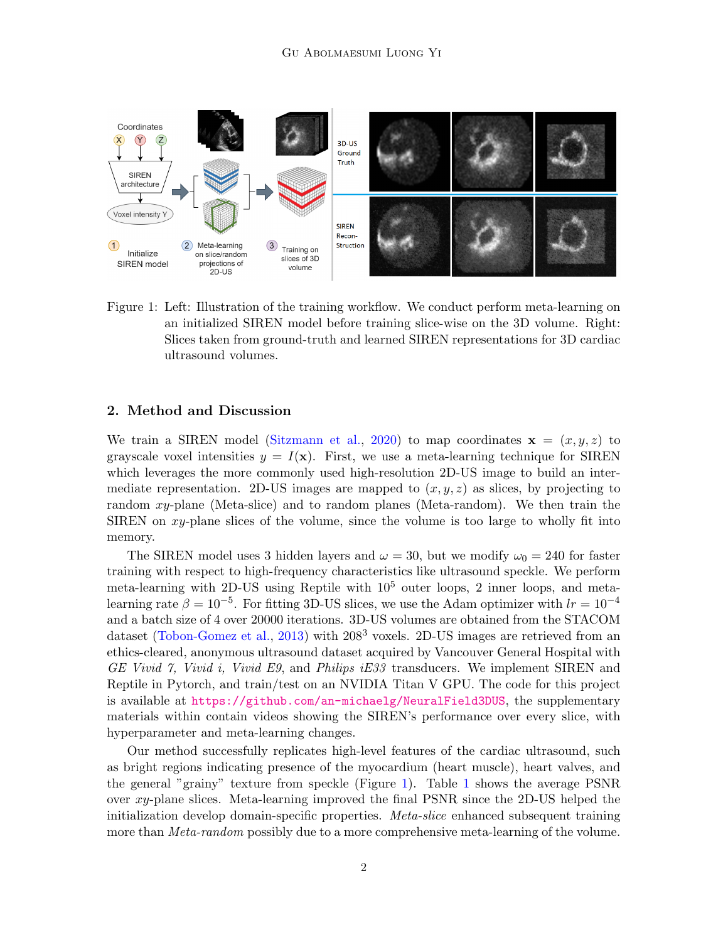

<span id="page-1-0"></span>Figure 1: Left: Illustration of the training workflow. We conduct perform meta-learning on an initialized SIREN model before training slice-wise on the 3D volume. Right: Slices taken from ground-truth and learned SIREN representations for 3D cardiac ultrasound volumes.

# 2. Method and Discussion

We train a SIREN model [\(Sitzmann et al.,](#page-2-3) [2020\)](#page-2-3) to map coordinates  $\mathbf{x} = (x, y, z)$  to grayscale voxel intensities  $y = I(x)$ . First, we use a meta-learning technique for SIREN which leverages the more commonly used high-resolution 2D-US image to build an intermediate representation. 2D-US images are mapped to  $(x, y, z)$  as slices, by projecting to random xy-plane (Meta-slice) and to random planes (Meta-random). We then train the SIREN on xy-plane slices of the volume, since the volume is too large to wholly fit into memory.

The SIREN model uses 3 hidden layers and  $\omega = 30$ , but we modify  $\omega_0 = 240$  for faster training with respect to high-frequency characteristics like ultrasound speckle. We perform meta-learning with 2D-US using Reptile with  $10^5$  outer loops, 2 inner loops, and metalearning rate  $\beta = 10^{-5}$ . For fitting 3D-US slices, we use the Adam optimizer with  $lr = 10^{-4}$ and a batch size of 4 over 20000 iterations. 3D-US volumes are obtained from the STACOM dataset [\(Tobon-Gomez et al.,](#page-2-4) [2013\)](#page-2-4) with  $208<sup>3</sup>$  voxels. 2D-US images are retrieved from an ethics-cleared, anonymous ultrasound dataset acquired by Vancouver General Hospital with GE Vivid 7, Vivid i, Vivid E9, and Philips iE33 transducers. We implement SIREN and Reptile in Pytorch, and train/test on an NVIDIA Titan V GPU. The code for this project is available at <https://github.com/an-michaelg/NeuralField3DUS>, the supplementary materials within contain videos showing the SIREN's performance over every slice, with hyperparameter and meta-learning changes.

Our method successfully replicates high-level features of the cardiac ultrasound, such as bright regions indicating presence of the myocardium (heart muscle), heart valves, and the general "grainy" texture from speckle (Figure [1\)](#page-1-0). Table [1](#page-2-5) shows the average PSNR over xy-plane slices. Meta-learning improved the final PSNR since the 2D-US helped the initialization develop domain-specific properties. *Meta-slice* enhanced subsequent training more than *Meta-random* possibly due to a more comprehensive meta-learning of the volume.